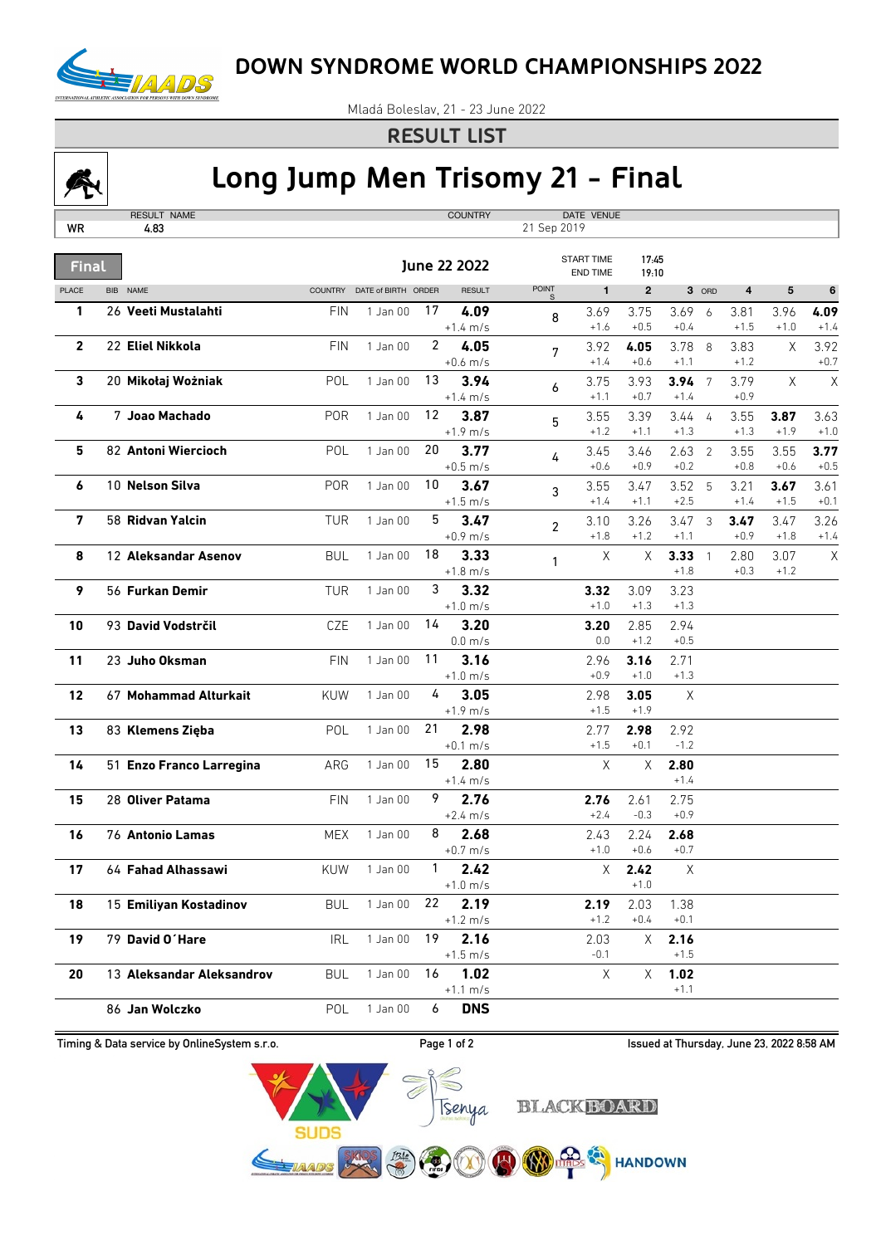

Mladá Boleslav, 21 - 23 June 2022

## **RESULT LIST**



## **Long Jump Men Trisomy 21 - Final**

| WR           | RESULT NAME<br>4.83       |                |                     |                | <b>COUNTRY</b>               | 21 Sep 2019                 | DATE VENUE                           |                |                |                 |                |          |        |
|--------------|---------------------------|----------------|---------------------|----------------|------------------------------|-----------------------------|--------------------------------------|----------------|----------------|-----------------|----------------|----------|--------|
|              |                           |                |                     |                |                              |                             |                                      |                |                |                 |                |          |        |
| <b>Final</b> |                           |                |                     |                | June 22 2022                 |                             | <b>START TIME</b><br><b>END TIME</b> | 17:45<br>19:10 |                |                 |                |          |        |
| <b>PLACE</b> | BIB NAME                  | <b>COUNTRY</b> | DATE of BIRTH ORDER |                | <b>RESULT</b>                | <b>POINT</b><br>$\mathbb S$ | $\mathbf{1}$                         | $\mathbf{2}$   |                | 3 ORD           | 4              | 5        | 6      |
| 1            | 26 Veeti Mustalahti       | <b>FIN</b>     | $1$ Jan $00$        | 17             | 4.09                         | 8                           | 3.69                                 | 3.75           | 3.69           | 6               | 3.81           | 3.96     | 4.09   |
|              |                           |                |                     |                | $+1.4 \; m/s$                |                             | $+1.6$                               | $+0.5$         | $+0.4$         |                 | $+1.5$         | $+1.0$   | $+1.4$ |
| 2            | 22 Eliel Nikkola          | <b>FIN</b>     | 1 Jan 00            | $\overline{2}$ | 4.05                         | 7                           | 3.92                                 | 4.05<br>$+0.6$ | 3.78           | 8               | 3.83           | Χ        | 3.92   |
|              |                           |                |                     | 13             | $+0.6$ m/s                   |                             | $+1.4$                               |                | $+1.1$         |                 | $+1.2$         |          | $+0.7$ |
| 3            | 20 Mikołaj Wożniak        | POL            | 1 Jan 00            |                | 3.94<br>$+1.4 \; m/s$        | 6                           | 3.75<br>$+1.1$                       | 3.93<br>$+0.7$ | 3.94<br>$+1.4$ | $7\phantom{.0}$ | 3.79<br>$+0.9$ | $\times$ | Χ      |
| 4            | 7 Joao Machado            | POR            | 1 Jan 00            | 12             | 3.87                         |                             | 3.55                                 | 3.39           | 3.44           | $\overline{4}$  | 3.55           | 3.87     | 3.63   |
|              |                           |                |                     |                | $+1.9$ m/s                   | 5                           | $+1.2$                               | $+1.1$         | $+1.3$         |                 | $+1.3$         | $+1.9$   | $+1.0$ |
| 5            | 82 Antoni Wiercioch       | <b>POL</b>     | 1 Jan 00            | 20             | 3.77                         |                             | 3.45                                 | 3.46           | 2.63           | $\overline{2}$  | 3.55           | 3.55     | 3.77   |
|              |                           |                |                     |                | $+0.5$ m/s                   | 4                           | $+0.6$                               | $+0.9$         | $+0.2$         |                 | $+0.8$         | $+0.6$   | $+0.5$ |
| 6            | 10 Nelson Silva           | <b>POR</b>     | 1 Jan 00            | 10             | 3.67                         | 3                           | 3.55                                 | 3.47           | 3.52           | 5               | 3.21           | 3.67     | 3.61   |
|              |                           |                |                     |                | $+1.5$ m/s                   |                             | $+1.4$                               | $+1.1$         | $+2.5$         |                 | $+1.4$         | $+1.5$   | $+0.1$ |
| 7            | 58 Ridvan Yalcin          | <b>TUR</b>     | 1 Jan 00            | 5              | 3.47                         | $\overline{2}$              | 3.10                                 | 3.26           | 3.47           | 3               | 3.47           | 3.47     | 3.26   |
|              |                           |                |                     |                | $+0.9$ m/s                   |                             | $+1.8$                               | $+1.2$         | $+1.1$         |                 | $+0.9$         | $+1.8$   | $+1.4$ |
| 8            | 12 Aleksandar Asenov      | <b>BUL</b>     | 1 Jan 00            | 18             | 3.33                         | $\mathbf{1}$                | X                                    | $\times$       | 3.33           | $\mathbf{1}$    | 2.80           | 3.07     | Χ      |
|              |                           |                |                     |                | $+1.8$ m/s                   |                             |                                      |                | $+1.8$         |                 | $+0.3$         | $+1.2$   |        |
| 9            | 56 Furkan Demir           | <b>TUR</b>     | 1 Jan 00            | 3              | 3.32<br>$+1.0$ m/s           |                             | 3.32<br>$+1.0$                       | 3.09<br>$+1.3$ | 3.23<br>$+1.3$ |                 |                |          |        |
| 10           | 93 David Vodstrčil        | CZE            | 1 Jan 00            | 14             | 3.20                         |                             | 3.20                                 | 2.85           | 2.94           |                 |                |          |        |
|              |                           |                |                     |                | $0.0$ m/s                    |                             | 0.0                                  | $+1.2$         | $+0.5$         |                 |                |          |        |
| 11           | 23 Juho Oksman            | <b>FIN</b>     | 1 Jan 00            | 11             | 3.16                         |                             | 2.96                                 | 3.16           | 2.71           |                 |                |          |        |
|              |                           |                |                     |                | $+1.0 \; m/s$                |                             | $+0.9$                               | $+1.0$         | $+1.3$         |                 |                |          |        |
| 12           | 67 Mohammad Alturkait     | KUW            | 1 Jan 00            | 4              | 3.05                         |                             | 2.98                                 | 3.05           | X              |                 |                |          |        |
|              |                           |                |                     |                | $+1.9$ m/s                   |                             | $+1.5$                               | $+1.9$         |                |                 |                |          |        |
| 13           | 83 Klemens Zięba          | POL            | 1 Jan 00            | 21             | 2.98                         |                             | 2.77                                 | 2.98           | 2.92           |                 |                |          |        |
|              |                           |                |                     |                | $+0.1 \, \text{m/s}$         |                             | $+1.5$                               | $+0.1$         | $-1.2$         |                 |                |          |        |
| 14           | 51 Enzo Franco Larregina  | ARG            | 1 Jan 00            | 15             | 2.80                         |                             | $\mathsf X$                          | $\mathsf X$    | 2.80           |                 |                |          |        |
|              |                           |                |                     | 9              | $+1.4 \; m/s$                |                             |                                      |                | $+1.4$         |                 |                |          |        |
| 15           | 28 Oliver Patama          | <b>FIN</b>     | 1 Jan 00            |                | 2.76<br>$+2.4 \, \text{m/s}$ |                             | 2.76<br>$+2.4$                       | 2.61<br>$-0.3$ | 2.75<br>$+0.9$ |                 |                |          |        |
| 16           | <b>76 Antonio Lamas</b>   | <b>MEX</b>     | 1 Jan 00            | 8              | 2.68                         |                             | 2.43                                 | 2.24           | 2.68           |                 |                |          |        |
|              |                           |                |                     |                | $+0.7 \text{ m/s}$           |                             | $+1.0$                               | $+0.6$         | $+0.7$         |                 |                |          |        |
| 17           | 64 Fahad Alhassawi        | <b>KUW</b>     | 1 Jan 00            | 1              | 2.42                         |                             | X                                    | 2.42           | Χ              |                 |                |          |        |
|              |                           |                |                     |                | $+1.0 \; m/s$                |                             |                                      | $+1.0$         |                |                 |                |          |        |
| 18           | 15 Emiliyan Kostadinov    | <b>BUL</b>     | 1 Jan 00            | 22             | 2.19                         |                             | 2.19                                 | 2.03           | 1.38           |                 |                |          |        |
|              |                           |                |                     |                | $+1.2 \; m/s$                |                             | $+1.2$                               | $+0.4$         | $+0.1$         |                 |                |          |        |
| 19           | 79 David O'Hare           | <b>IRL</b>     | 1 Jan 00            | 19             | 2.16                         |                             | 2.03                                 | Χ              | 2.16           |                 |                |          |        |
|              |                           |                |                     |                | $+1.5 \; m/s$                |                             | $-0.1$                               |                | $+1.5$         |                 |                |          |        |
| 20           | 13 Aleksandar Aleksandrov | <b>BUL</b>     | 1 Jan 00            | 16             | 1.02                         |                             | Χ                                    | X              | 1.02           |                 |                |          |        |
|              |                           |                |                     |                | $+1.1 \text{ m/s}$           |                             |                                      |                | $+1.1$         |                 |                |          |        |
|              | 86 Jan Wolczko            | POL            | $1$ Jan $00$        | 6              | <b>DNS</b>                   |                             |                                      |                |                |                 |                |          |        |

Tsenya

STARB EN (2) 200 0 0 0 0 HANDOWN

Timing & Data service by OnlineSystem s.r.o. **Exercise 20 ISSUE 2 ISSUED 2018** Issued at Thursday, June 23, 2022 8:58 AM

**BLACK BOARD**